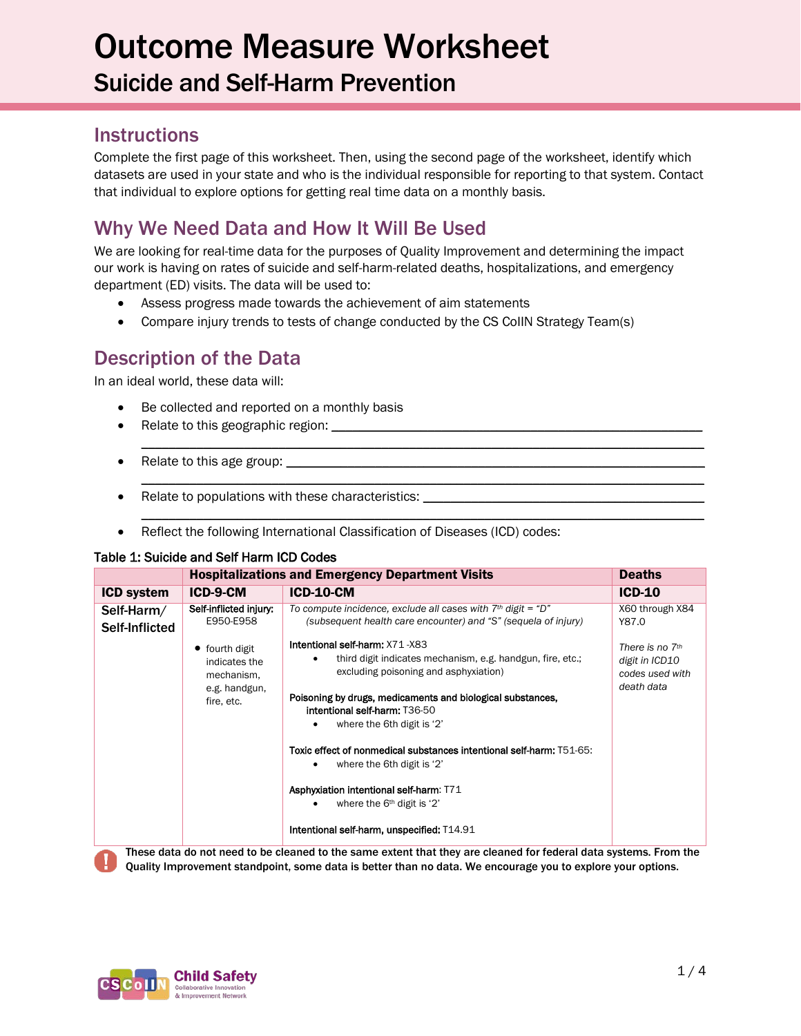# Outcome Measure Worksheet Suicide and Self-Harm Prevention

## **Instructions**

Complete the first page of this worksheet. Then, using the second page of the worksheet, identify which datasets are used in your state and who is the individual responsible for reporting to that system. Contact that individual to explore options for getting real time data on a monthly basis.

# Why We Need Data and How It Will Be Used

We are looking for real-time data for the purposes of Quality Improvement and determining the impact our work is having on rates of suicide and self-harm-related deaths, hospitalizations, and emergency department (ED) visits. The data will be used to:

 $\mathcal{L}_\mathcal{L} = \{ \mathcal{L}_\mathcal{L} = \{ \mathcal{L}_\mathcal{L} = \{ \mathcal{L}_\mathcal{L} = \{ \mathcal{L}_\mathcal{L} = \{ \mathcal{L}_\mathcal{L} = \{ \mathcal{L}_\mathcal{L} = \{ \mathcal{L}_\mathcal{L} = \{ \mathcal{L}_\mathcal{L} = \{ \mathcal{L}_\mathcal{L} = \{ \mathcal{L}_\mathcal{L} = \{ \mathcal{L}_\mathcal{L} = \{ \mathcal{L}_\mathcal{L} = \{ \mathcal{L}_\mathcal{L} = \{ \mathcal{L}_\mathcal{$ 

 $\mathcal{L}_\mathcal{L} = \{ \mathcal{L}_\mathcal{L} = \{ \mathcal{L}_\mathcal{L} = \{ \mathcal{L}_\mathcal{L} = \{ \mathcal{L}_\mathcal{L} = \{ \mathcal{L}_\mathcal{L} = \{ \mathcal{L}_\mathcal{L} = \{ \mathcal{L}_\mathcal{L} = \{ \mathcal{L}_\mathcal{L} = \{ \mathcal{L}_\mathcal{L} = \{ \mathcal{L}_\mathcal{L} = \{ \mathcal{L}_\mathcal{L} = \{ \mathcal{L}_\mathcal{L} = \{ \mathcal{L}_\mathcal{L} = \{ \mathcal{L}_\mathcal{$ 

 $\mathcal{L}_\mathcal{L} = \{ \mathcal{L}_\mathcal{L} = \{ \mathcal{L}_\mathcal{L} = \{ \mathcal{L}_\mathcal{L} = \{ \mathcal{L}_\mathcal{L} = \{ \mathcal{L}_\mathcal{L} = \{ \mathcal{L}_\mathcal{L} = \{ \mathcal{L}_\mathcal{L} = \{ \mathcal{L}_\mathcal{L} = \{ \mathcal{L}_\mathcal{L} = \{ \mathcal{L}_\mathcal{L} = \{ \mathcal{L}_\mathcal{L} = \{ \mathcal{L}_\mathcal{L} = \{ \mathcal{L}_\mathcal{L} = \{ \mathcal{L}_\mathcal{$ 

- Assess progress made towards the achievement of aim statements
- Compare injury trends to tests of change conducted by the CS CoIIN Strategy Team(s)

### Description of the Data

In an ideal world, these data will:

- Be collected and reported on a monthly basis
- Relate to this geographic region:
- Relate to this age group:  $\Box$
- Relate to populations with these characteristics: \_\_\_\_\_\_\_\_\_\_\_\_\_\_\_\_\_\_\_\_\_\_\_\_\_\_\_\_
- Reflect the following International Classification of Diseases (ICD) codes:

#### Table 1: Suicide and Self Harm ICD Codes

|                              | <b>Hospitalizations and Emergency Department Visits</b>                        | <b>Deaths</b>                                                                                                                                                                                                                                                                     |                                                                 |
|------------------------------|--------------------------------------------------------------------------------|-----------------------------------------------------------------------------------------------------------------------------------------------------------------------------------------------------------------------------------------------------------------------------------|-----------------------------------------------------------------|
| <b>ICD system</b>            | ICD-9-CM                                                                       | <b>ICD-10-CM</b>                                                                                                                                                                                                                                                                  | $ICD-10$                                                        |
| Self-Harm/<br>Self-Inflicted | Self-inflicted injury:<br>E950-E958<br>$\bullet$ fourth digit<br>indicates the | To compute incidence, exclude all cases with $7th$ digit = "D"<br>(subsequent health care encounter) and "S" (sequela of injury)<br><b>Intentional self-harm: X71-X83</b><br>third digit indicates mechanism, e.g. handgun, fire, etc.;                                           | X60 through X84<br>Y87.0<br>There is no $7th$<br>digit in ICD10 |
|                              | mechanism,<br>e.g. handgun,<br>fire, etc.                                      | excluding poisoning and asphyxiation)<br>Poisoning by drugs, medicaments and biological substances,<br>intentional self-harm: T36-50<br>where the 6th digit is '2'<br>Toxic effect of nonmedical substances intentional self-harm: T51-65:                                        | codes used with<br>death data                                   |
|                              |                                                                                | where the 6th digit is '2'<br>Asphyxiation intentional self-harm: T71<br>where the 6 <sup>th</sup> digit is '2'<br>Intentional self-harm, unspecified: T14.91<br>These data do not need to be cleaned to the same extent that they are cleaned for federal data systems. From the |                                                                 |

Quality Improvement standpoint, some data is better than no data. We encourage you to explore your options.

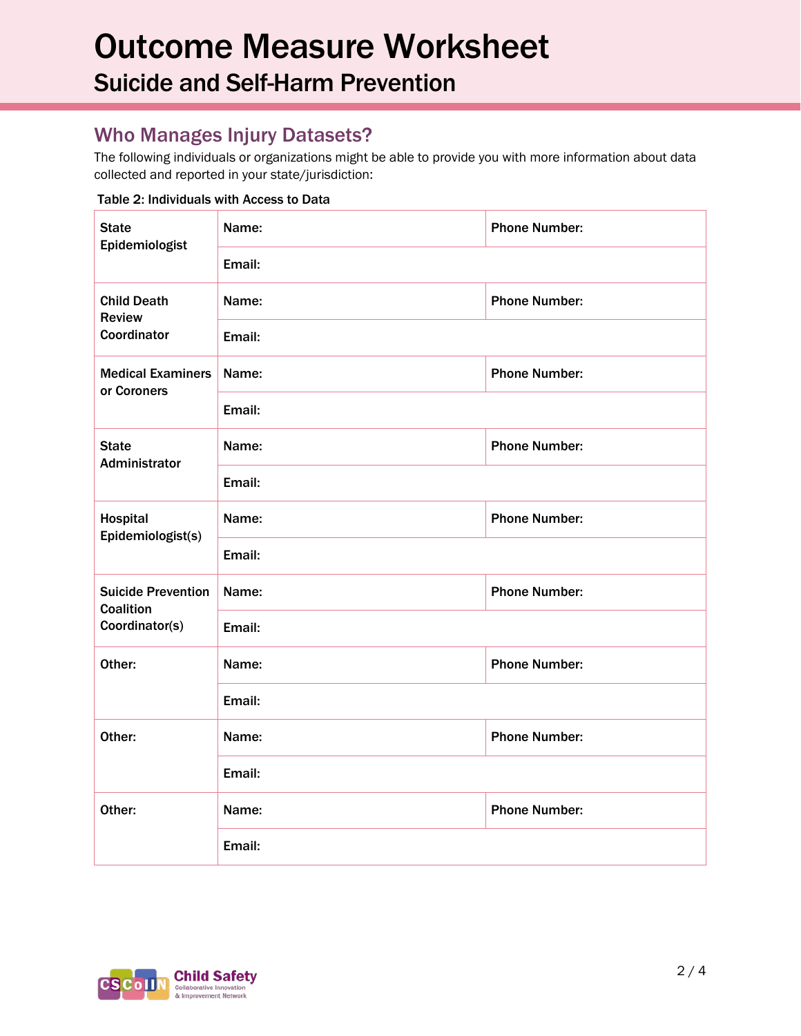# Outcome Measure Worksheet Suicide and Self-Harm Prevention

# Who Manages Injury Datasets?

The following individuals or organizations might be able to provide you with more information about data collected and reported in your state/jurisdiction:

#### **State** Epidemiologist Name: Phone Number: Email: Child Death Review Coordinator Name: Phone Number: Email: Medical Examiners or Coroners Name: Name: Phone Number: Email: **State** Administrator Name: Name: Phone Number: Email: Hospital Epidemiologist(s) Name: Name: Phone Number: Email: Suicide Prevention **Coalition** Coordinator(s) Name: Name: Phone Number: Email: Other: Name: Name: Phone Number: Email: Other: Name: Name: Phone Number: Email: Other: Name: Name: Phone Number: Email:



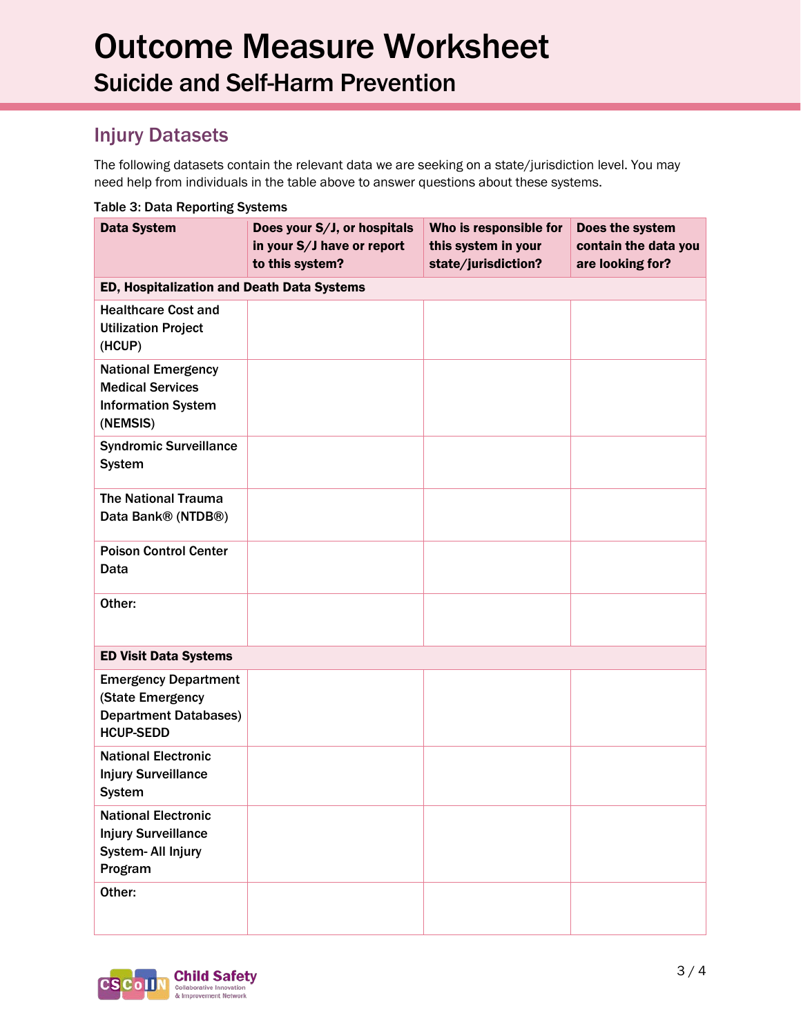# Injury Datasets

The following datasets contain the relevant data we are seeking on a state/jurisdiction level. You may need help from individuals in the table above to answer questions about these systems.

| Table 3. Data Reporting Systems                                                                     |                                                                              |                                                                      |                                                             |  |  |  |  |
|-----------------------------------------------------------------------------------------------------|------------------------------------------------------------------------------|----------------------------------------------------------------------|-------------------------------------------------------------|--|--|--|--|
| <b>Data System</b>                                                                                  | Does your S/J, or hospitals<br>in your S/J have or report<br>to this system? | Who is responsible for<br>this system in your<br>state/jurisdiction? | Does the system<br>contain the data you<br>are looking for? |  |  |  |  |
| ED, Hospitalization and Death Data Systems                                                          |                                                                              |                                                                      |                                                             |  |  |  |  |
| <b>Healthcare Cost and</b><br><b>Utilization Project</b><br>(HCUP)                                  |                                                                              |                                                                      |                                                             |  |  |  |  |
| <b>National Emergency</b><br><b>Medical Services</b><br><b>Information System</b><br>(NEMSIS)       |                                                                              |                                                                      |                                                             |  |  |  |  |
| <b>Syndromic Surveillance</b><br><b>System</b>                                                      |                                                                              |                                                                      |                                                             |  |  |  |  |
| <b>The National Trauma</b><br>Data Bank® (NTDB®)                                                    |                                                                              |                                                                      |                                                             |  |  |  |  |
| <b>Poison Control Center</b><br>Data                                                                |                                                                              |                                                                      |                                                             |  |  |  |  |
| Other:                                                                                              |                                                                              |                                                                      |                                                             |  |  |  |  |
| <b>ED Visit Data Systems</b>                                                                        |                                                                              |                                                                      |                                                             |  |  |  |  |
| <b>Emergency Department</b><br>(State Emergency<br><b>Department Databases)</b><br><b>HCUP-SEDD</b> |                                                                              |                                                                      |                                                             |  |  |  |  |
| <b>National Electronic</b><br><b>Injury Surveillance</b><br><b>System</b>                           |                                                                              |                                                                      |                                                             |  |  |  |  |
| <b>National Electronic</b><br><b>Injury Surveillance</b><br>System- All Injury<br>Program           |                                                                              |                                                                      |                                                             |  |  |  |  |
| Other:                                                                                              |                                                                              |                                                                      |                                                             |  |  |  |  |

#### Table 3: Data Reporting Systems